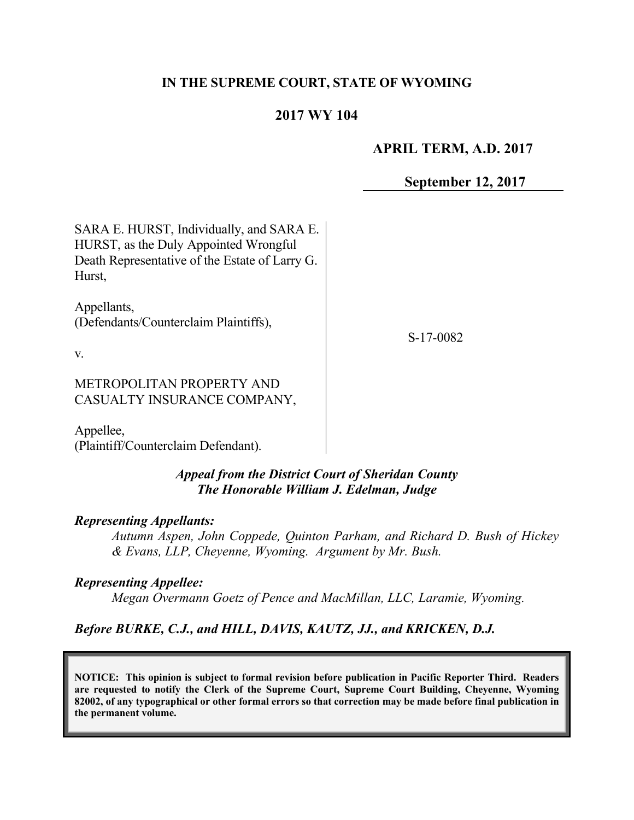#### **IN THE SUPREME COURT, STATE OF WYOMING**

# **2017 WY 104**

### **APRIL TERM, A.D. 2017**

**September 12, 2017**

| SARA E. HURST, Individually, and SARA E.<br>HURST, as the Duly Appointed Wrongful<br>Death Representative of the Estate of Larry G.<br>Hurst, |           |
|-----------------------------------------------------------------------------------------------------------------------------------------------|-----------|
| Appellants,<br>(Defendants/Counterclaim Plaintiffs),<br>V.                                                                                    | S-17-0082 |
| METROPOLITAN PROPERTY AND<br>CASUALTY INSURANCE COMPANY,                                                                                      |           |

Appellee, (Plaintiff/Counterclaim Defendant).

# *Appeal from the District Court of Sheridan County The Honorable William J. Edelman, Judge*

#### *Representing Appellants:*

*Autumn Aspen, John Coppede, Quinton Parham, and Richard D. Bush of Hickey & Evans, LLP, Cheyenne, Wyoming. Argument by Mr. Bush.*

#### *Representing Appellee:*

*Megan Overmann Goetz of Pence and MacMillan, LLC, Laramie, Wyoming.* 

*Before BURKE, C.J., and HILL, DAVIS, KAUTZ, JJ., and KRICKEN, D.J.*

**NOTICE: This opinion is subject to formal revision before publication in Pacific Reporter Third. Readers are requested to notify the Clerk of the Supreme Court, Supreme Court Building, Cheyenne, Wyoming 82002, of any typographical or other formal errors so that correction may be made before final publication in the permanent volume.**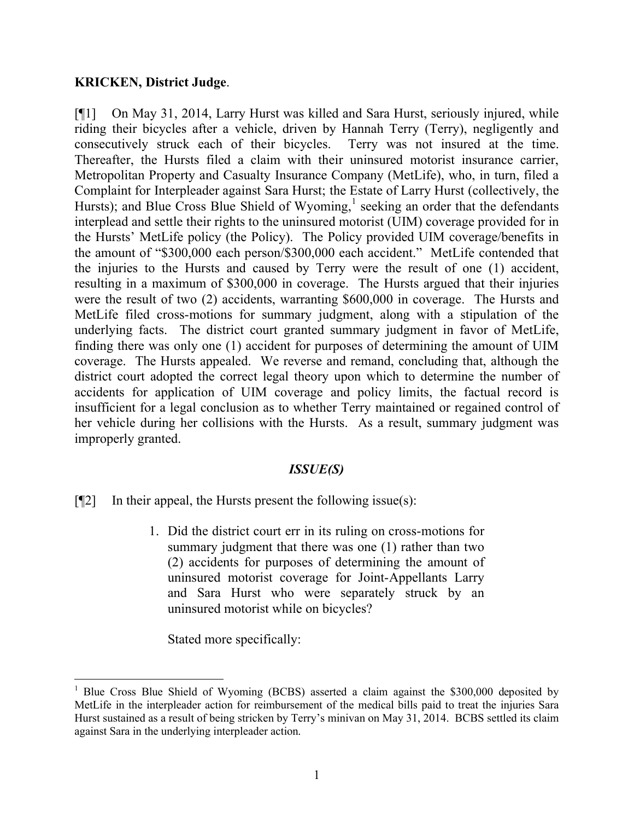#### **KRICKEN, District Judge**.

[¶1] On May 31, 2014, Larry Hurst was killed and Sara Hurst, seriously injured, while riding their bicycles after a vehicle, driven by Hannah Terry (Terry), negligently and consecutively struck each of their bicycles. Terry was not insured at the time. Thereafter, the Hursts filed a claim with their uninsured motorist insurance carrier, Metropolitan Property and Casualty Insurance Company (MetLife), who, in turn, filed a Complaint for Interpleader against Sara Hurst; the Estate of Larry Hurst (collectively, the Hursts); and Blue Cross Blue Shield of Wyoming,<sup>1</sup> seeking an order that the defendants interplead and settle their rights to the uninsured motorist (UIM) coverage provided for in the Hursts' MetLife policy (the Policy). The Policy provided UIM coverage/benefits in the amount of "\$300,000 each person/\$300,000 each accident." MetLife contended that the injuries to the Hursts and caused by Terry were the result of one (1) accident, resulting in a maximum of \$300,000 in coverage. The Hursts argued that their injuries were the result of two (2) accidents, warranting \$600,000 in coverage. The Hursts and MetLife filed cross-motions for summary judgment, along with a stipulation of the underlying facts. The district court granted summary judgment in favor of MetLife, finding there was only one (1) accident for purposes of determining the amount of UIM coverage. The Hursts appealed. We reverse and remand, concluding that, although the district court adopted the correct legal theory upon which to determine the number of accidents for application of UIM coverage and policy limits, the factual record is insufficient for a legal conclusion as to whether Terry maintained or regained control of her vehicle during her collisions with the Hursts. As a result, summary judgment was improperly granted.

# *ISSUE(S)*

- $[$ [2] In their appeal, the Hursts present the following issue(s):
	- 1. Did the district court err in its ruling on cross-motions for summary judgment that there was one (1) rather than two (2) accidents for purposes of determining the amount of uninsured motorist coverage for Joint-Appellants Larry and Sara Hurst who were separately struck by an uninsured motorist while on bicycles?

Stated more specifically:

<sup>&</sup>lt;sup>1</sup> Blue Cross Blue Shield of Wyoming (BCBS) asserted a claim against the \$300,000 deposited by MetLife in the interpleader action for reimbursement of the medical bills paid to treat the injuries Sara Hurst sustained as a result of being stricken by Terry's minivan on May 31, 2014. BCBS settled its claim against Sara in the underlying interpleader action.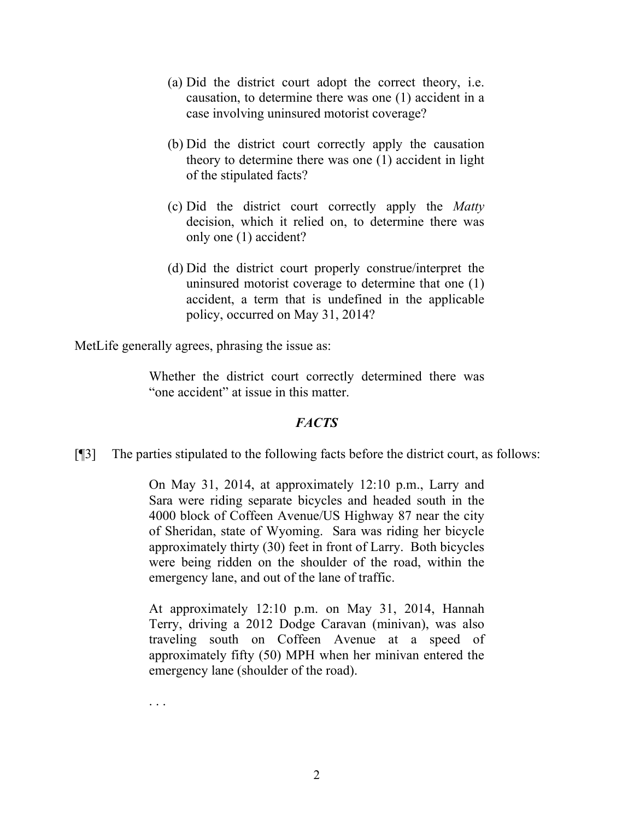- (a) Did the district court adopt the correct theory, i.e. causation, to determine there was one (1) accident in a case involving uninsured motorist coverage?
- (b) Did the district court correctly apply the causation theory to determine there was one (1) accident in light of the stipulated facts?
- (c) Did the district court correctly apply the *Matty*  decision, which it relied on, to determine there was only one (1) accident?
- (d) Did the district court properly construe/interpret the uninsured motorist coverage to determine that one (1) accident, a term that is undefined in the applicable policy, occurred on May 31, 2014?

MetLife generally agrees, phrasing the issue as:

Whether the district court correctly determined there was "one accident" at issue in this matter.

#### *FACTS*

[¶3] The parties stipulated to the following facts before the district court, as follows:

On May 31, 2014, at approximately 12:10 p.m., Larry and Sara were riding separate bicycles and headed south in the 4000 block of Coffeen Avenue/US Highway 87 near the city of Sheridan, state of Wyoming. Sara was riding her bicycle approximately thirty (30) feet in front of Larry. Both bicycles were being ridden on the shoulder of the road, within the emergency lane, and out of the lane of traffic.

At approximately 12:10 p.m. on May 31, 2014, Hannah Terry, driving a 2012 Dodge Caravan (minivan), was also traveling south on Coffeen Avenue at a speed of approximately fifty (50) MPH when her minivan entered the emergency lane (shoulder of the road).

. . .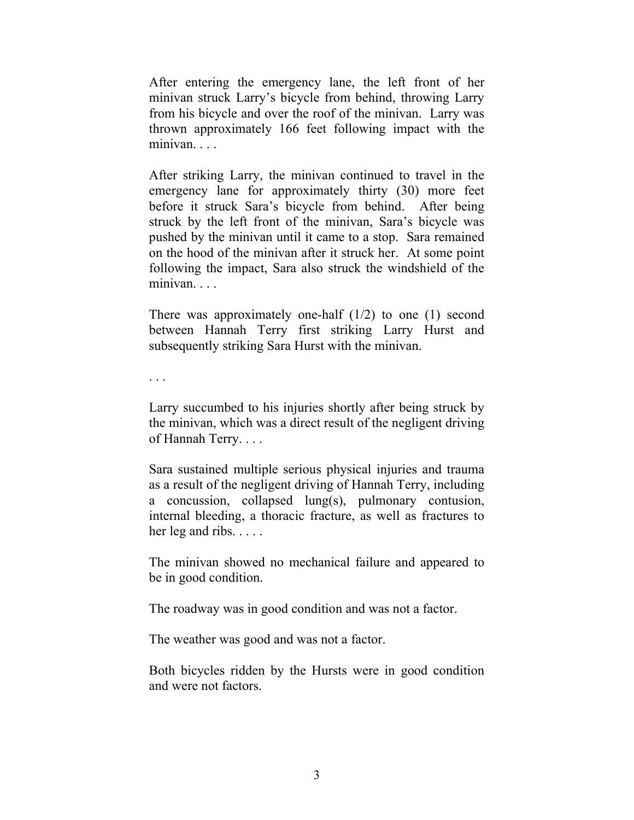After entering the emergency lane, the left front of her minivan struck Larry's bicycle from behind, throwing Larry from his bicycle and over the roof of the minivan. Larry was thrown approximately 166 feet following impact with the minivan. . . .

After striking Larry, the minivan continued to travel in the emergency lane for approximately thirty (30) more feet before it struck Sara's bicycle from behind. After being struck by the left front of the minivan, Sara's bicycle was pushed by the minivan until it came to a stop. Sara remained on the hood of the minivan after it struck her. At some point following the impact, Sara also struck the windshield of the minivan. . . .

There was approximately one-half  $(1/2)$  to one  $(1)$  second between Hannah Terry first striking Larry Hurst and subsequently striking Sara Hurst with the minivan.

. . .

Larry succumbed to his injuries shortly after being struck by the minivan, which was a direct result of the negligent driving of Hannah Terry. . . .

Sara sustained multiple serious physical injuries and trauma as a result of the negligent driving of Hannah Terry, including a concussion, collapsed lung(s), pulmonary contusion, internal bleeding, a thoracic fracture, as well as fractures to her leg and ribs. . . . .

The minivan showed no mechanical failure and appeared to be in good condition.

The roadway was in good condition and was not a factor.

The weather was good and was not a factor.

Both bicycles ridden by the Hursts were in good condition and were not factors.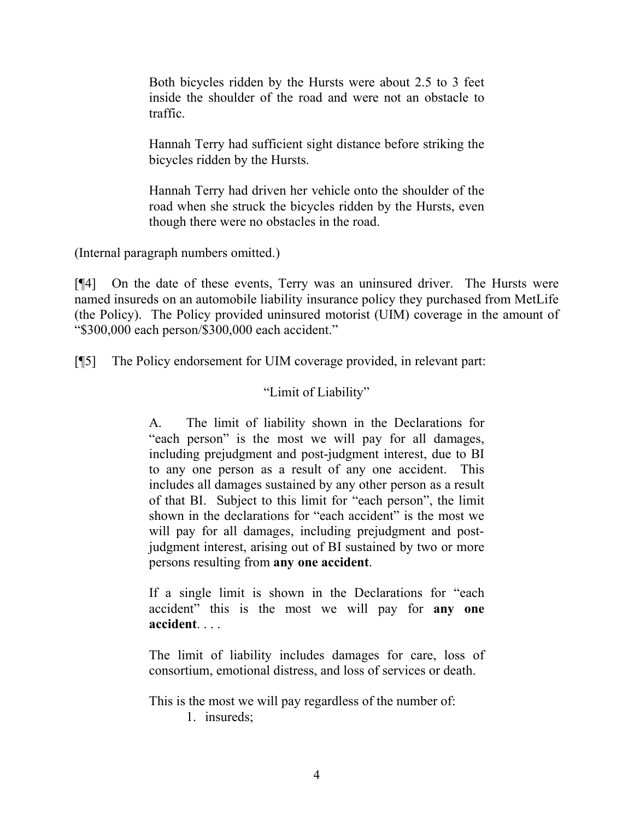Both bicycles ridden by the Hursts were about 2.5 to 3 feet inside the shoulder of the road and were not an obstacle to traffic.

Hannah Terry had sufficient sight distance before striking the bicycles ridden by the Hursts.

Hannah Terry had driven her vehicle onto the shoulder of the road when she struck the bicycles ridden by the Hursts, even though there were no obstacles in the road.

(Internal paragraph numbers omitted.)

[¶4] On the date of these events, Terry was an uninsured driver. The Hursts were named insureds on an automobile liability insurance policy they purchased from MetLife (the Policy). The Policy provided uninsured motorist (UIM) coverage in the amount of "\$300,000 each person/\$300,000 each accident."

[¶5] The Policy endorsement for UIM coverage provided, in relevant part:

# "Limit of Liability"

A. The limit of liability shown in the Declarations for "each person" is the most we will pay for all damages, including prejudgment and post-judgment interest, due to BI to any one person as a result of any one accident. This includes all damages sustained by any other person as a result of that BI. Subject to this limit for "each person", the limit shown in the declarations for "each accident" is the most we will pay for all damages, including prejudgment and postjudgment interest, arising out of BI sustained by two or more persons resulting from **any one accident**.

If a single limit is shown in the Declarations for "each accident" this is the most we will pay for **any one accident**. . . .

The limit of liability includes damages for care, loss of consortium, emotional distress, and loss of services or death.

This is the most we will pay regardless of the number of: 1. insureds;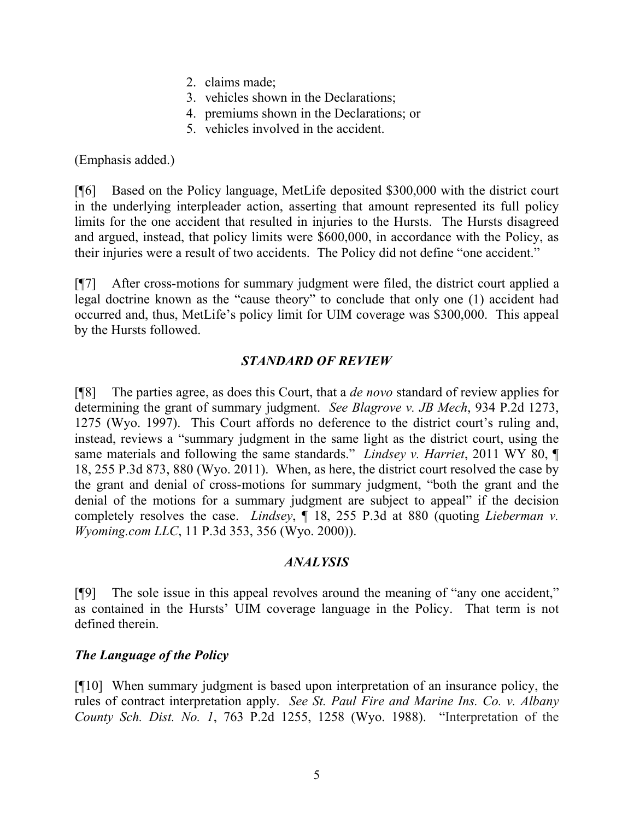- 2. claims made;
- 3. vehicles shown in the Declarations;
- 4. premiums shown in the Declarations; or
- 5. vehicles involved in the accident.

(Emphasis added.)

[¶6] Based on the Policy language, MetLife deposited \$300,000 with the district court in the underlying interpleader action, asserting that amount represented its full policy limits for the one accident that resulted in injuries to the Hursts. The Hursts disagreed and argued, instead, that policy limits were \$600,000, in accordance with the Policy, as their injuries were a result of two accidents. The Policy did not define "one accident."

[¶7] After cross-motions for summary judgment were filed, the district court applied a legal doctrine known as the "cause theory" to conclude that only one (1) accident had occurred and, thus, MetLife's policy limit for UIM coverage was \$300,000. This appeal by the Hursts followed.

# *STANDARD OF REVIEW*

[¶8] The parties agree, as does this Court, that a *de novo* standard of review applies for determining the grant of summary judgment. *See Blagrove v. JB Mech*, 934 P.2d 1273, 1275 (Wyo. 1997). This Court affords no deference to the district court's ruling and, instead, reviews a "summary judgment in the same light as the district court, using the same materials and following the same standards." *Lindsey v. Harriet*, 2011 WY 80, ¶ 18, 255 P.3d 873, 880 (Wyo. 2011). When, as here, the district court resolved the case by the grant and denial of cross-motions for summary judgment, "both the grant and the denial of the motions for a summary judgment are subject to appeal" if the decision completely resolves the case. *Lindsey*, ¶ 18, 255 P.3d at 880 (quoting *Lieberman v. Wyoming.com LLC*, 11 P.3d 353, 356 (Wyo. 2000)).

# *ANALYSIS*

[¶9] The sole issue in this appeal revolves around the meaning of "any one accident," as contained in the Hursts' UIM coverage language in the Policy. That term is not defined therein.

# *The Language of the Policy*

[¶10] When summary judgment is based upon interpretation of an insurance policy, the rules of contract interpretation apply. *See St. Paul Fire and Marine Ins. Co. v. Albany County Sch. Dist. No. 1*, 763 P.2d 1255, 1258 (Wyo. 1988). "Interpretation of the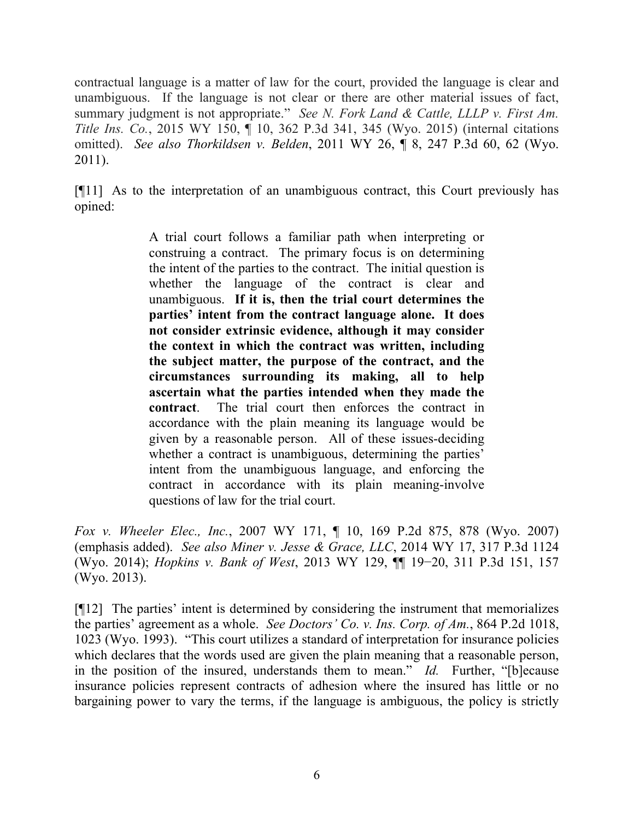contractual language is a matter of law for the court, provided the language is clear and unambiguous. If the language is not clear or there are other material issues of fact, summary judgment is not appropriate." *See N. Fork Land & Cattle, LLLP v. First Am. Title Ins. Co.*, 2015 WY 150, ¶ 10, 362 P.3d 341, 345 (Wyo. 2015) (internal citations omitted). *See also Thorkildsen v. Belden*, 2011 WY 26, ¶ 8, 247 P.3d 60, 62 (Wyo. 2011).

[¶11] As to the interpretation of an unambiguous contract, this Court previously has opined:

> A trial court follows a familiar path when interpreting or construing a contract. The primary focus is on determining the intent of the parties to the contract. The initial question is whether the language of the contract is clear and unambiguous. **If it is, then the trial court determines the parties' intent from the contract language alone. It does not consider extrinsic evidence, although it may consider the context in which the contract was written, including the subject matter, the purpose of the contract, and the circumstances surrounding its making, all to help ascertain what the parties intended when they made the contract**. The trial court then enforces the contract in accordance with the plain meaning its language would be given by a reasonable person. All of these issues-deciding whether a contract is unambiguous, determining the parties' intent from the unambiguous language, and enforcing the contract in accordance with its plain meaning-involve questions of law for the trial court.

*Fox v. Wheeler Elec., Inc.*, 2007 WY 171, ¶ 10, 169 P.2d 875, 878 (Wyo. 2007) (emphasis added). *See also Miner v. Jesse & Grace, LLC*, 2014 WY 17, 317 P.3d 1124 (Wyo. 2014); *Hopkins v. Bank of West*, 2013 WY 129, ¶¶ 19−20, 311 P.3d 151, 157 (Wyo. 2013).

[¶12] The parties' intent is determined by considering the instrument that memorializes the parties' agreement as a whole. *See Doctors' Co. v. Ins. Corp. of Am.*, 864 P.2d 1018, 1023 (Wyo. 1993). "This court utilizes a standard of interpretation for insurance policies which declares that the words used are given the plain meaning that a reasonable person, in the position of the insured, understands them to mean." *Id.* Further, "[b]ecause insurance policies represent contracts of adhesion where the insured has little or no bargaining power to vary the terms, if the language is ambiguous, the policy is strictly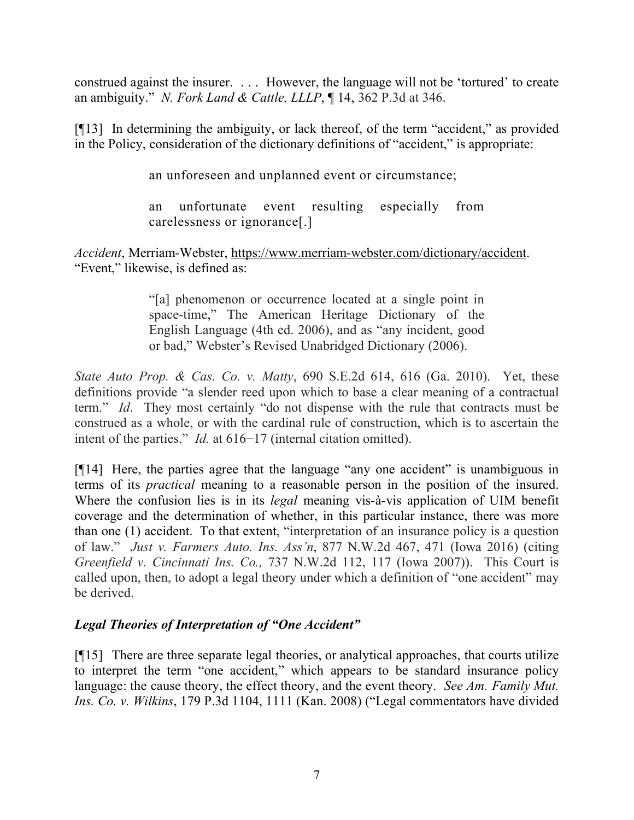construed against the insurer. . . . However, the language will not be 'tortured' to create an ambiguity." *N. Fork Land & Cattle, LLLP*, ¶ 14, 362 P.3d at 346.

[¶13] In determining the ambiguity, or lack thereof, of the term "accident," as provided in the Policy, consideration of the dictionary definitions of "accident," is appropriate:

an unforeseen and unplanned event or circumstance;

an unfortunate event resulting especially from carelessness or ignorance[.]

*Accident*, Merriam-Webster, https://www.merriam-webster.com/dictionary/accident. "Event," likewise, is defined as:

> "[a] phenomenon or occurrence located at a single point in space-time," The American Heritage Dictionary of the English Language (4th ed. 2006), and as "any incident, good or bad," Webster's Revised Unabridged Dictionary (2006).

*State Auto Prop. & Cas. Co. v. Matty*, 690 S.E.2d 614, 616 (Ga. 2010). Yet, these definitions provide "a slender reed upon which to base a clear meaning of a contractual term." *Id*. They most certainly "do not dispense with the rule that contracts must be construed as a whole, or with the cardinal rule of construction, which is to ascertain the intent of the parties." *Id.* at 616−17 (internal citation omitted).

[¶14] Here, the parties agree that the language "any one accident" is unambiguous in terms of its *practical* meaning to a reasonable person in the position of the insured. Where the confusion lies is in its *legal* meaning vis-à-vis application of UIM benefit coverage and the determination of whether, in this particular instance, there was more than one (1) accident. To that extent, "interpretation of an insurance policy is a question of law." *Just v. Farmers Auto. Ins. Ass'n*, 877 N.W.2d 467, 471 (Iowa 2016) (citing *Greenfield v. Cincinnati Ins. Co.,* 737 N.W.2d 112, 117 (Iowa 2007)). This Court is called upon, then, to adopt a legal theory under which a definition of "one accident" may be derived.

# *Legal Theories of Interpretation of "One Accident"*

[¶15] There are three separate legal theories, or analytical approaches, that courts utilize to interpret the term "one accident," which appears to be standard insurance policy language: the cause theory, the effect theory, and the event theory. *See Am. Family Mut. Ins. Co. v. Wilkins*, 179 P.3d 1104, 1111 (Kan. 2008) ("Legal commentators have divided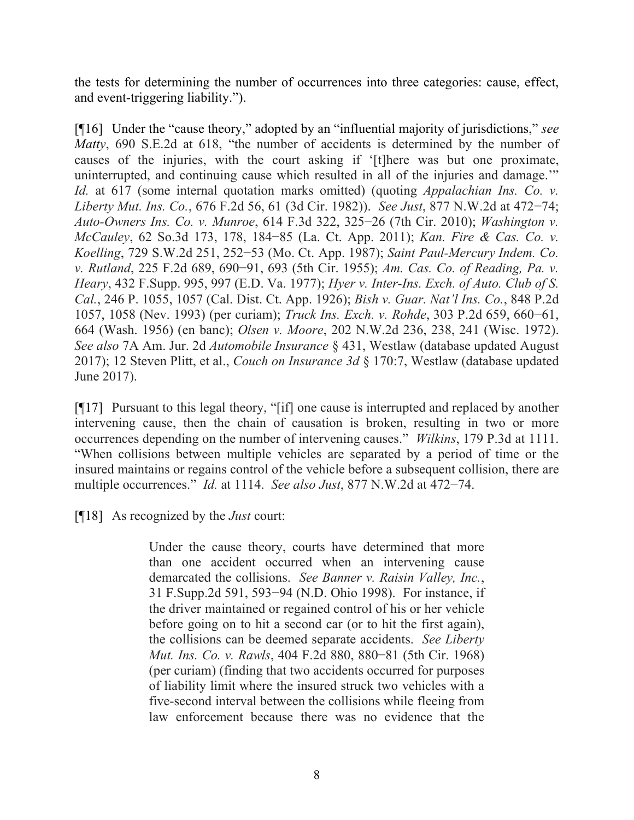the tests for determining the number of occurrences into three categories: cause, effect, and event-triggering liability.").

[¶16] Under the "cause theory," adopted by an "influential majority of jurisdictions," *see Matty*, 690 S.E.2d at 618, "the number of accidents is determined by the number of causes of the injuries, with the court asking if '[t]here was but one proximate, uninterrupted, and continuing cause which resulted in all of the injuries and damage.'" *Id.* at 617 (some internal quotation marks omitted) (quoting *Appalachian Ins. Co. v. Liberty Mut. Ins. Co.*, 676 F.2d 56, 61 (3d Cir. 1982)). *See Just*, 877 N.W.2d at 472−74; *Auto-Owners Ins. Co. v. Munroe*, 614 F.3d 322, 325−26 (7th Cir. 2010); *Washington v. McCauley*, 62 So.3d 173, 178, 184−85 (La. Ct. App. 2011); *Kan. Fire & Cas. Co. v. Koelling*, 729 S.W.2d 251, 252−53 (Mo. Ct. App. 1987); *Saint Paul-Mercury Indem. Co. v. Rutland*, 225 F.2d 689, 690−91, 693 (5th Cir. 1955); *Am. Cas. Co. of Reading, Pa. v. Heary*, 432 F.Supp. 995, 997 (E.D. Va. 1977); *Hyer v. Inter-Ins. Exch. of Auto. Club of S. Cal.*, 246 P. 1055, 1057 (Cal. Dist. Ct. App. 1926); *Bish v. Guar. Nat'l Ins. Co.*, 848 P.2d 1057, 1058 (Nev. 1993) (per curiam); *Truck Ins. Exch. v. Rohde*, 303 P.2d 659, 660−61, 664 (Wash. 1956) (en banc); *Olsen v. Moore*, 202 N.W.2d 236, 238, 241 (Wisc. 1972). *See also* 7A Am. Jur. 2d *Automobile Insurance* § 431, Westlaw (database updated August 2017); 12 Steven Plitt, et al., *Couch on Insurance 3d* § 170:7, Westlaw (database updated June 2017).

[¶17] Pursuant to this legal theory, "[if] one cause is interrupted and replaced by another intervening cause, then the chain of causation is broken, resulting in two or more occurrences depending on the number of intervening causes." *Wilkins*, 179 P.3d at 1111. "When collisions between multiple vehicles are separated by a period of time or the insured maintains or regains control of the vehicle before a subsequent collision, there are multiple occurrences." *Id.* at 1114. *See also Just*, 877 N.W.2d at 472−74.

[¶18] As recognized by the *Just* court:

Under the cause theory, courts have determined that more than one accident occurred when an intervening cause demarcated the collisions. *See Banner v. Raisin Valley, Inc.*, 31 F.Supp.2d 591, 593−94 (N.D. Ohio 1998). For instance, if the driver maintained or regained control of his or her vehicle before going on to hit a second car (or to hit the first again), the collisions can be deemed separate accidents. *See Liberty Mut. Ins. Co. v. Rawls*, 404 F.2d 880, 880−81 (5th Cir. 1968) (per curiam) (finding that two accidents occurred for purposes of liability limit where the insured struck two vehicles with a five-second interval between the collisions while fleeing from law enforcement because there was no evidence that the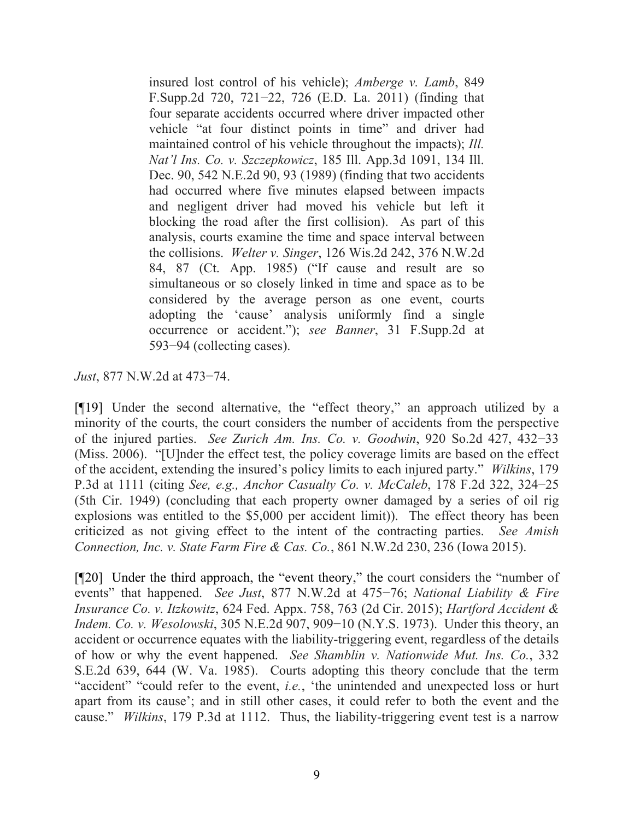insured lost control of his vehicle); *Amberge v. Lamb*, 849 F.Supp.2d 720, 721−22, 726 (E.D. La. 2011) (finding that four separate accidents occurred where driver impacted other vehicle "at four distinct points in time" and driver had maintained control of his vehicle throughout the impacts); *Ill. Nat'l Ins. Co. v. Szczepkowicz*, 185 Ill. App.3d 1091, 134 Ill. Dec. 90, 542 N.E.2d 90, 93 (1989) (finding that two accidents had occurred where five minutes elapsed between impacts and negligent driver had moved his vehicle but left it blocking the road after the first collision). As part of this analysis, courts examine the time and space interval between the collisions. *Welter v. Singer*, 126 Wis.2d 242, 376 N.W.2d 84, 87 (Ct. App. 1985) ("If cause and result are so simultaneous or so closely linked in time and space as to be considered by the average person as one event, courts adopting the 'cause' analysis uniformly find a single occurrence or accident."); *see Banner*, 31 F.Supp.2d at 593−94 (collecting cases).

*Just*, 877 N.W.2d at 473−74.

[¶19] Under the second alternative, the "effect theory," an approach utilized by a minority of the courts, the court considers the number of accidents from the perspective of the injured parties. *See Zurich Am. Ins. Co. v. Goodwin*, 920 So.2d 427, 432−33 (Miss. 2006). "[U]nder the effect test, the policy coverage limits are based on the effect of the accident, extending the insured's policy limits to each injured party." *Wilkins*, 179 P.3d at 1111 (citing *See, e.g., Anchor Casualty Co. v. McCaleb*, 178 F.2d 322, 324−25 (5th Cir. 1949) (concluding that each property owner damaged by a series of oil rig explosions was entitled to the \$5,000 per accident limit)). The effect theory has been criticized as not giving effect to the intent of the contracting parties. *See Amish Connection, Inc. v. State Farm Fire & Cas. Co.*, 861 N.W.2d 230, 236 (Iowa 2015).

[¶20] Under the third approach, the "event theory," the court considers the "number of events" that happened. *See Just*, 877 N.W.2d at 475−76; *National Liability & Fire Insurance Co. v. Itzkowitz*, 624 Fed. Appx. 758, 763 (2d Cir. 2015); *Hartford Accident & Indem. Co. v. Wesolowski*, 305 N.E.2d 907, 909–10 (N.Y.S. 1973). Under this theory, an accident or occurrence equates with the liability-triggering event, regardless of the details of how or why the event happened. *See Shamblin v. Nationwide Mut. Ins. Co.*, 332 S.E.2d 639, 644 (W. Va. 1985). Courts adopting this theory conclude that the term "accident" "could refer to the event, *i.e.*, 'the unintended and unexpected loss or hurt apart from its cause'; and in still other cases, it could refer to both the event and the cause." *Wilkins*, 179 P.3d at 1112. Thus, the liability-triggering event test is a narrow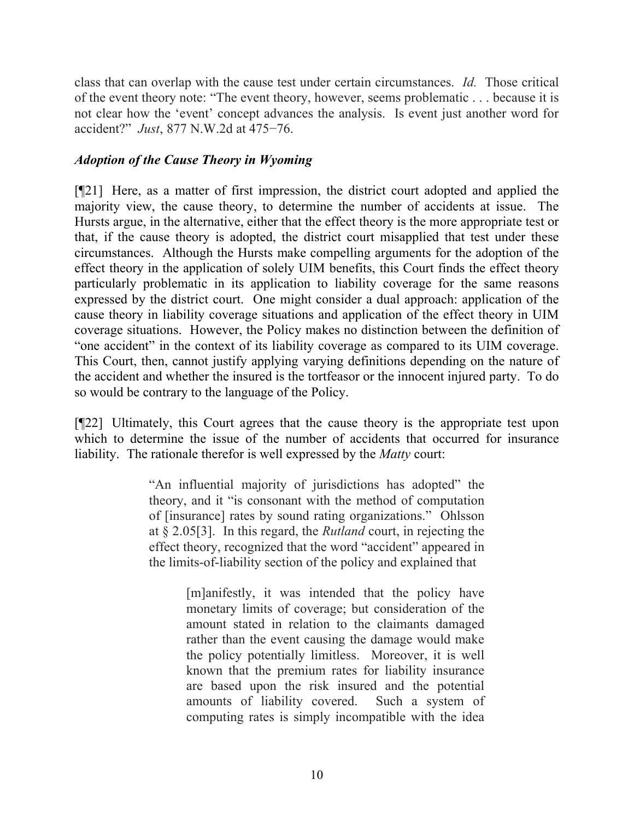class that can overlap with the cause test under certain circumstances. *Id.* Those critical of the event theory note: "The event theory, however, seems problematic . . . because it is not clear how the 'event' concept advances the analysis. Is event just another word for accident?" *Just*, 877 N.W.2d at 475−76.

# *Adoption of the Cause Theory in Wyoming*

[¶21] Here, as a matter of first impression, the district court adopted and applied the majority view, the cause theory, to determine the number of accidents at issue. The Hursts argue, in the alternative, either that the effect theory is the more appropriate test or that, if the cause theory is adopted, the district court misapplied that test under these circumstances. Although the Hursts make compelling arguments for the adoption of the effect theory in the application of solely UIM benefits, this Court finds the effect theory particularly problematic in its application to liability coverage for the same reasons expressed by the district court. One might consider a dual approach: application of the cause theory in liability coverage situations and application of the effect theory in UIM coverage situations. However, the Policy makes no distinction between the definition of "one accident" in the context of its liability coverage as compared to its UIM coverage. This Court, then, cannot justify applying varying definitions depending on the nature of the accident and whether the insured is the tortfeasor or the innocent injured party. To do so would be contrary to the language of the Policy.

[¶22] Ultimately, this Court agrees that the cause theory is the appropriate test upon which to determine the issue of the number of accidents that occurred for insurance liability. The rationale therefor is well expressed by the *Matty* court:

> "An influential majority of jurisdictions has adopted" the theory, and it "is consonant with the method of computation of [insurance] rates by sound rating organizations." Ohlsson at § 2.05[3]. In this regard, the *Rutland* court, in rejecting the effect theory, recognized that the word "accident" appeared in the limits-of-liability section of the policy and explained that

> > [m]anifestly, it was intended that the policy have monetary limits of coverage; but consideration of the amount stated in relation to the claimants damaged rather than the event causing the damage would make the policy potentially limitless. Moreover, it is well known that the premium rates for liability insurance are based upon the risk insured and the potential amounts of liability covered. Such a system of computing rates is simply incompatible with the idea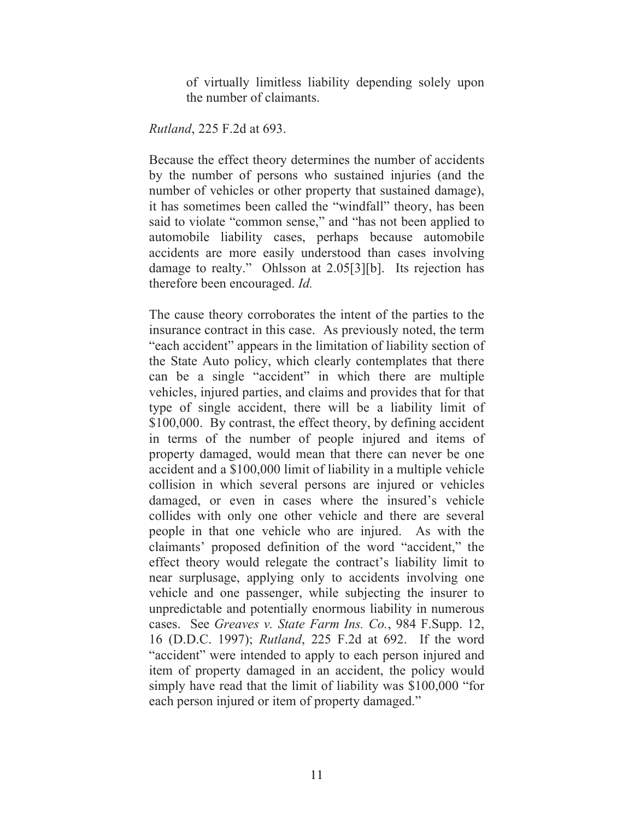of virtually limitless liability depending solely upon the number of claimants.

*Rutland*, 225 F.2d at 693.

Because the effect theory determines the number of accidents by the number of persons who sustained injuries (and the number of vehicles or other property that sustained damage), it has sometimes been called the "windfall" theory, has been said to violate "common sense," and "has not been applied to automobile liability cases, perhaps because automobile accidents are more easily understood than cases involving damage to realty." Ohlsson at 2.05[3][b]. Its rejection has therefore been encouraged. *Id.*

The cause theory corroborates the intent of the parties to the insurance contract in this case. As previously noted, the term "each accident" appears in the limitation of liability section of the State Auto policy, which clearly contemplates that there can be a single "accident" in which there are multiple vehicles, injured parties, and claims and provides that for that type of single accident, there will be a liability limit of \$100,000. By contrast, the effect theory, by defining accident in terms of the number of people injured and items of property damaged, would mean that there can never be one accident and a \$100,000 limit of liability in a multiple vehicle collision in which several persons are injured or vehicles damaged, or even in cases where the insured's vehicle collides with only one other vehicle and there are several people in that one vehicle who are injured. As with the claimants' proposed definition of the word "accident," the effect theory would relegate the contract's liability limit to near surplusage, applying only to accidents involving one vehicle and one passenger, while subjecting the insurer to unpredictable and potentially enormous liability in numerous cases. See *Greaves v. State Farm Ins. Co.*, 984 F.Supp. 12, 16 (D.D.C. 1997); *Rutland*, 225 F.2d at 692. If the word "accident" were intended to apply to each person injured and item of property damaged in an accident, the policy would simply have read that the limit of liability was \$100,000 "for each person injured or item of property damaged."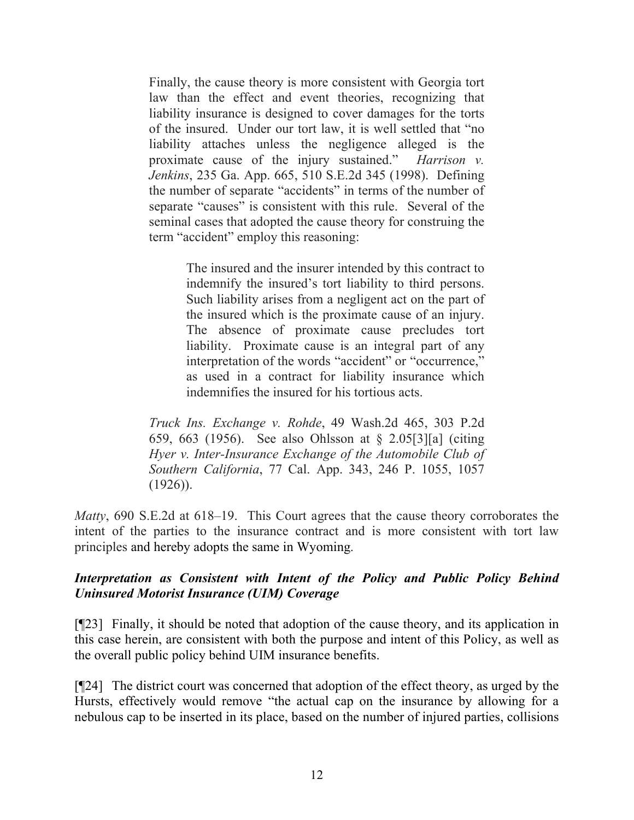Finally, the cause theory is more consistent with Georgia tort law than the effect and event theories, recognizing that liability insurance is designed to cover damages for the torts of the insured. Under our tort law, it is well settled that "no liability attaches unless the negligence alleged is the proximate cause of the injury sustained." *Harrison v. Jenkins*, 235 Ga. App. 665, 510 S.E.2d 345 (1998). Defining the number of separate "accidents" in terms of the number of separate "causes" is consistent with this rule. Several of the seminal cases that adopted the cause theory for construing the term "accident" employ this reasoning:

> The insured and the insurer intended by this contract to indemnify the insured's tort liability to third persons. Such liability arises from a negligent act on the part of the insured which is the proximate cause of an injury. The absence of proximate cause precludes tort liability. Proximate cause is an integral part of any interpretation of the words "accident" or "occurrence," as used in a contract for liability insurance which indemnifies the insured for his tortious acts.

*Truck Ins. Exchange v. Rohde*, 49 Wash.2d 465, 303 P.2d 659, 663 (1956). See also Ohlsson at § 2.05[3][a] (citing *Hyer v. Inter-Insurance Exchange of the Automobile Club of Southern California*, 77 Cal. App. 343, 246 P. 1055, 1057  $(1926)$ ).

*Matty*, 690 S.E.2d at 618–19. This Court agrees that the cause theory corroborates the intent of the parties to the insurance contract and is more consistent with tort law principles and hereby adopts the same in Wyoming.

# *Interpretation as Consistent with Intent of the Policy and Public Policy Behind Uninsured Motorist Insurance (UIM) Coverage*

[¶23] Finally, it should be noted that adoption of the cause theory, and its application in this case herein, are consistent with both the purpose and intent of this Policy, as well as the overall public policy behind UIM insurance benefits.

[¶24] The district court was concerned that adoption of the effect theory, as urged by the Hursts, effectively would remove "the actual cap on the insurance by allowing for a nebulous cap to be inserted in its place, based on the number of injured parties, collisions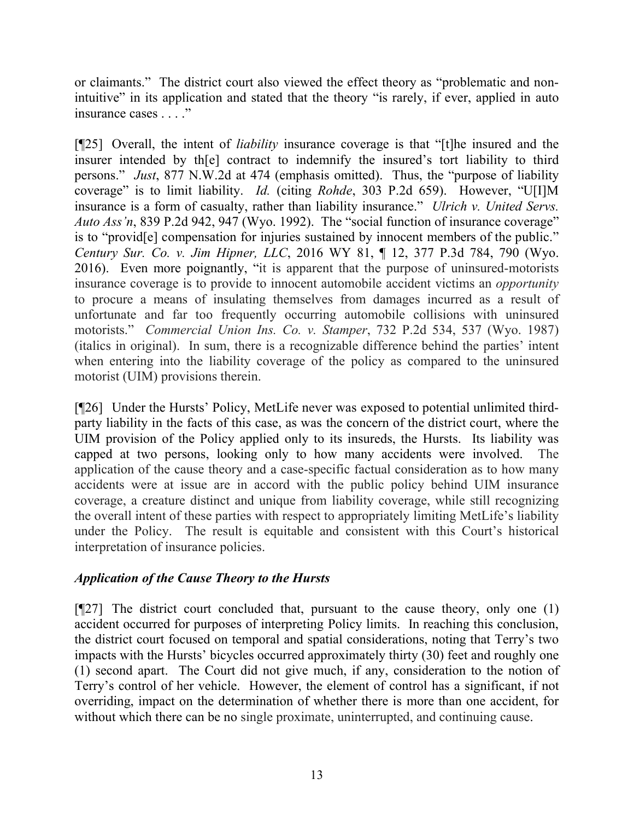or claimants." The district court also viewed the effect theory as "problematic and nonintuitive" in its application and stated that the theory "is rarely, if ever, applied in auto insurance cases . . . ."

[¶25] Overall, the intent of *liability* insurance coverage is that "[t]he insured and the insurer intended by th[e] contract to indemnify the insured's tort liability to third persons." *Just*, 877 N.W.2d at 474 (emphasis omitted). Thus, the "purpose of liability coverage" is to limit liability. *Id.* (citing *Rohde*, 303 P.2d 659). However, "U[I]M insurance is a form of casualty, rather than liability insurance." *Ulrich v. United Servs. Auto Ass'n*, 839 P.2d 942, 947 (Wyo. 1992). The "social function of insurance coverage" is to "provid[e] compensation for injuries sustained by innocent members of the public." *Century Sur. Co. v. Jim Hipner, LLC*, 2016 WY 81, ¶ 12, 377 P.3d 784, 790 (Wyo. 2016). Even more poignantly, "it is apparent that the purpose of uninsured-motorists insurance coverage is to provide to innocent automobile accident victims an *opportunity* to procure a means of insulating themselves from damages incurred as a result of unfortunate and far too frequently occurring automobile collisions with uninsured motorists." *Commercial Union Ins. Co. v. Stamper*, 732 P.2d 534, 537 (Wyo. 1987) (italics in original). In sum, there is a recognizable difference behind the parties' intent when entering into the liability coverage of the policy as compared to the uninsured motorist (UIM) provisions therein.

[¶26] Under the Hursts' Policy, MetLife never was exposed to potential unlimited thirdparty liability in the facts of this case, as was the concern of the district court, where the UIM provision of the Policy applied only to its insureds, the Hursts. Its liability was capped at two persons, looking only to how many accidents were involved. The application of the cause theory and a case-specific factual consideration as to how many accidents were at issue are in accord with the public policy behind UIM insurance coverage, a creature distinct and unique from liability coverage, while still recognizing the overall intent of these parties with respect to appropriately limiting MetLife's liability under the Policy. The result is equitable and consistent with this Court's historical interpretation of insurance policies.

# *Application of the Cause Theory to the Hursts*

 $[927]$  The district court concluded that, pursuant to the cause theory, only one (1) accident occurred for purposes of interpreting Policy limits. In reaching this conclusion, the district court focused on temporal and spatial considerations, noting that Terry's two impacts with the Hursts' bicycles occurred approximately thirty (30) feet and roughly one (1) second apart. The Court did not give much, if any, consideration to the notion of Terry's control of her vehicle. However, the element of control has a significant, if not overriding, impact on the determination of whether there is more than one accident, for without which there can be no single proximate, uninterrupted, and continuing cause.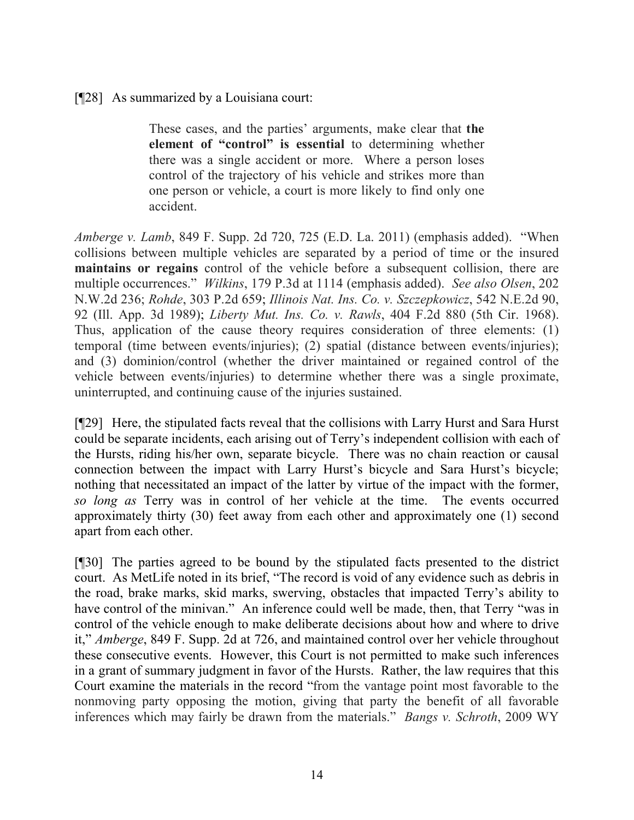### [¶28] As summarized by a Louisiana court:

These cases, and the parties' arguments, make clear that **the element of "control" is essential** to determining whether there was a single accident or more. Where a person loses control of the trajectory of his vehicle and strikes more than one person or vehicle, a court is more likely to find only one accident.

*Amberge v. Lamb*, 849 F. Supp. 2d 720, 725 (E.D. La. 2011) (emphasis added). "When collisions between multiple vehicles are separated by a period of time or the insured **maintains or regains** control of the vehicle before a subsequent collision, there are multiple occurrences." *Wilkins*, 179 P.3d at 1114 (emphasis added). *See also Olsen*, 202 N.W.2d 236; *Rohde*, 303 P.2d 659; *Illinois Nat. Ins. Co. v. Szczepkowicz*, 542 N.E.2d 90, 92 (Ill. App. 3d 1989); *Liberty Mut. Ins. Co. v. Rawls*, 404 F.2d 880 (5th Cir. 1968). Thus, application of the cause theory requires consideration of three elements: (1) temporal (time between events/injuries); (2) spatial (distance between events/injuries); and (3) dominion/control (whether the driver maintained or regained control of the vehicle between events/injuries) to determine whether there was a single proximate, uninterrupted, and continuing cause of the injuries sustained.

[¶29] Here, the stipulated facts reveal that the collisions with Larry Hurst and Sara Hurst could be separate incidents, each arising out of Terry's independent collision with each of the Hursts, riding his/her own, separate bicycle. There was no chain reaction or causal connection between the impact with Larry Hurst's bicycle and Sara Hurst's bicycle; nothing that necessitated an impact of the latter by virtue of the impact with the former, *so long as* Terry was in control of her vehicle at the time. The events occurred approximately thirty (30) feet away from each other and approximately one (1) second apart from each other.

[¶30] The parties agreed to be bound by the stipulated facts presented to the district court. As MetLife noted in its brief, "The record is void of any evidence such as debris in the road, brake marks, skid marks, swerving, obstacles that impacted Terry's ability to have control of the minivan." An inference could well be made, then, that Terry "was in control of the vehicle enough to make deliberate decisions about how and where to drive it," *Amberge*, 849 F. Supp. 2d at 726, and maintained control over her vehicle throughout these consecutive events. However, this Court is not permitted to make such inferences in a grant of summary judgment in favor of the Hursts. Rather, the law requires that this Court examine the materials in the record "from the vantage point most favorable to the nonmoving party opposing the motion, giving that party the benefit of all favorable inferences which may fairly be drawn from the materials." *Bangs v. Schroth*, 2009 WY